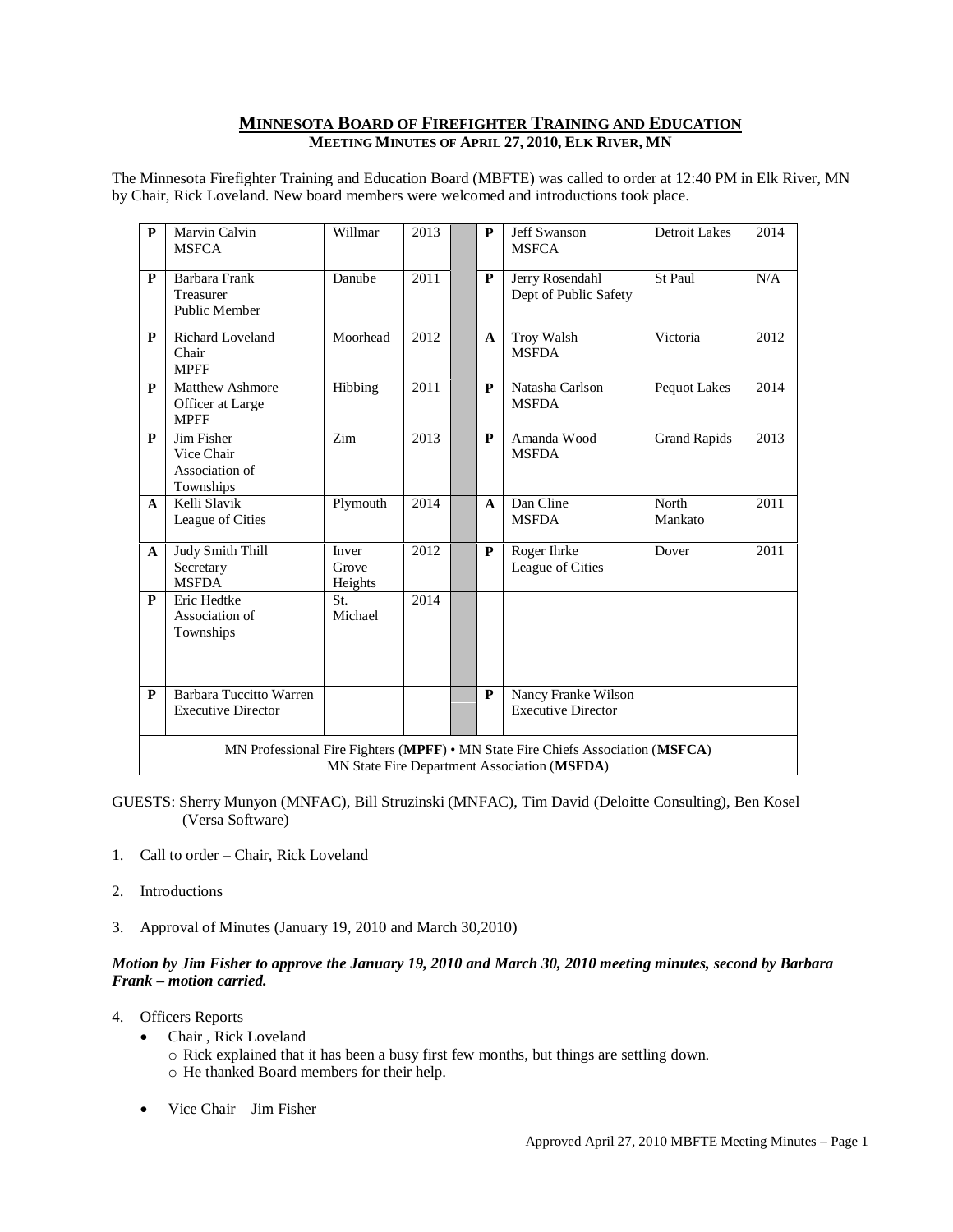# **MINNESOTA BOARD OF FIREFIGHTER TRAINING AND EDUCATION MEETING MINUTES OF APRIL 27, 2010, ELK RIVER, MN**

The Minnesota Firefighter Training and Education Board (MBFTE) was called to order at 12:40 PM in Elk River, MN by Chair, Rick Loveland. New board members were welcomed and introductions took place.

| $\mathbf{P}$ | Marvin Calvin<br><b>MSFCA</b>                                                                                                   | Willmar                   | 2013 |  | P            | <b>Jeff Swanson</b><br><b>MSFCA</b>              | Detroit Lakes       | 2014 |
|--------------|---------------------------------------------------------------------------------------------------------------------------------|---------------------------|------|--|--------------|--------------------------------------------------|---------------------|------|
| ${\bf P}$    | Barbara Frank<br>Treasurer<br><b>Public Member</b>                                                                              | Danube                    | 2011 |  | P            | Jerry Rosendahl<br>Dept of Public Safety         | St Paul             | N/A  |
| P            | <b>Richard Loveland</b><br>Chair<br><b>MPFF</b>                                                                                 | Moorhead                  | 2012 |  | A            | Troy Walsh<br><b>MSFDA</b>                       | Victoria            | 2012 |
| P            | <b>Matthew Ashmore</b><br>Officer at Large<br><b>MPFF</b>                                                                       | Hibbing                   | 2011 |  | P            | Natasha Carlson<br><b>MSFDA</b>                  | Pequot Lakes        | 2014 |
| P            | Jim Fisher<br>Vice Chair<br>Association of<br>Townships                                                                         | Zim                       | 2013 |  | P            | Amanda Wood<br><b>MSFDA</b>                      | <b>Grand Rapids</b> | 2013 |
| $\mathbf{A}$ | Kelli Slavik<br>League of Cities                                                                                                | Plymouth                  | 2014 |  | $\mathbf{A}$ | Dan Cline<br><b>MSFDA</b>                        | North<br>Mankato    | 2011 |
| $\mathbf{A}$ | <b>Judy Smith Thill</b><br>Secretary<br><b>MSFDA</b>                                                                            | Inver<br>Grove<br>Heights | 2012 |  | P            | Roger Ihrke<br>League of Cities                  | Dover               | 2011 |
| $\mathbf{P}$ | Eric Hedtke<br>Association of<br>Townships                                                                                      | St.<br>Michael            | 2014 |  |              |                                                  |                     |      |
|              |                                                                                                                                 |                           |      |  |              |                                                  |                     |      |
| P            | Barbara Tuccitto Warren<br><b>Executive Director</b>                                                                            |                           |      |  | P            | Nancy Franke Wilson<br><b>Executive Director</b> |                     |      |
|              | MN Professional Fire Fighters (MPFF) • MN State Fire Chiefs Association (MSFCA)<br>MN State Fire Department Association (MSFDA) |                           |      |  |              |                                                  |                     |      |

GUESTS: Sherry Munyon (MNFAC), Bill Struzinski (MNFAC), Tim David (Deloitte Consulting), Ben Kosel (Versa Software)

- 1. Call to order Chair, Rick Loveland
- 2. Introductions
- 3. Approval of Minutes (January 19, 2010 and March 30,2010)

## *Motion by Jim Fisher to approve the January 19, 2010 and March 30, 2010 meeting minutes, second by Barbara Frank – motion carried.*

- 4. Officers Reports
	- Chair , Rick Loveland o Rick explained that it has been a busy first few months, but things are settling down. o He thanked Board members for their help.
	- Vice Chair Jim Fisher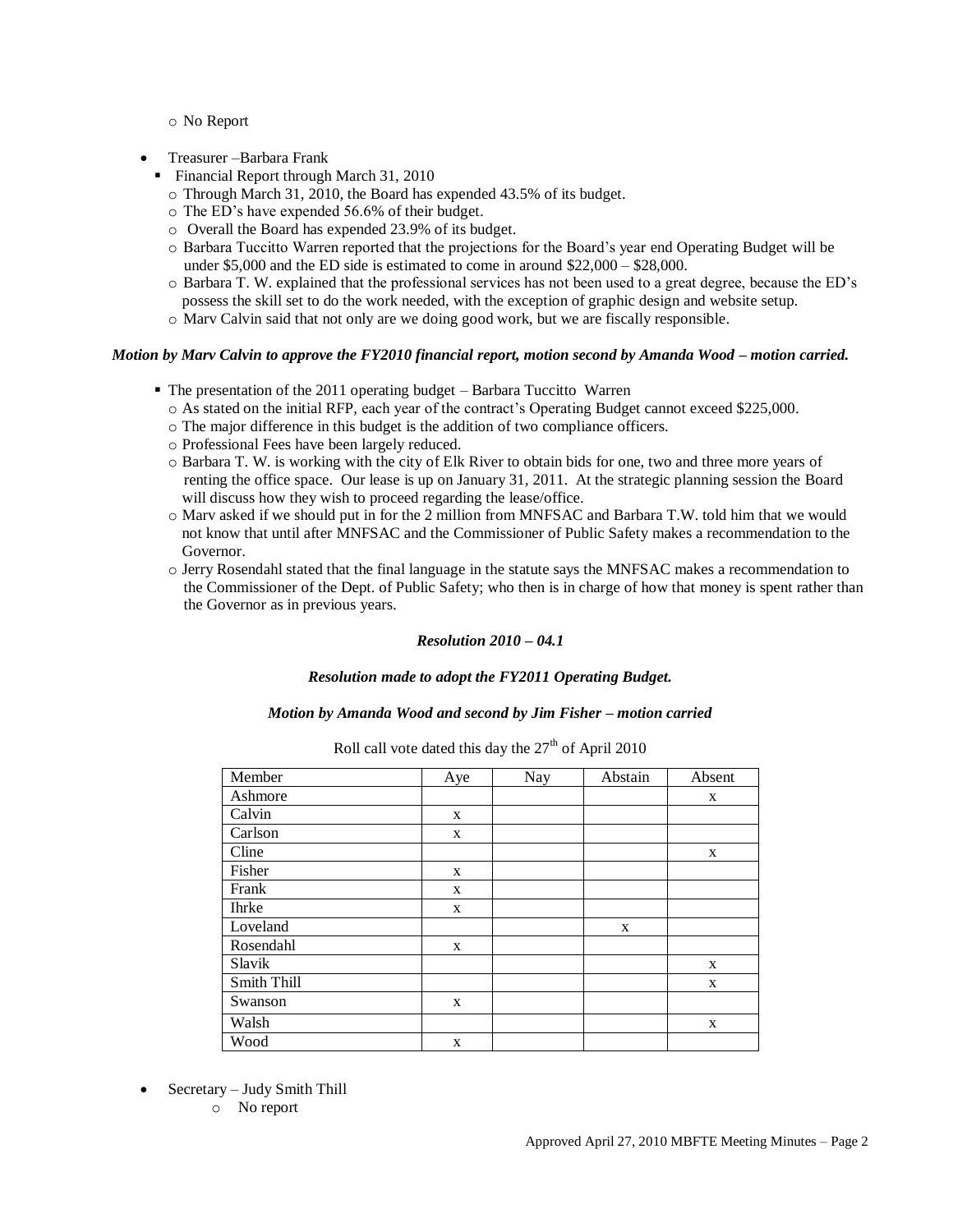o No Report

- Treasurer –Barbara Frank
	- Financial Report through March 31, 2010
		- o Through March 31, 2010, the Board has expended 43.5% of its budget.
		- o The ED's have expended 56.6% of their budget.
		- o Overall the Board has expended 23.9% of its budget.
		- o Barbara Tuccitto Warren reported that the projections for the Board's year end Operating Budget will be under \$5,000 and the ED side is estimated to come in around \$22,000 – \$28,000.
		- o Barbara T. W. explained that the professional services has not been used to a great degree, because the ED's possess the skill set to do the work needed, with the exception of graphic design and website setup.
		- o Marv Calvin said that not only are we doing good work, but we are fiscally responsible.

### *Motion by Marv Calvin to approve the FY2010 financial report, motion second by Amanda Wood – motion carried.*

- $\blacksquare$  The presentation of the 2011 operating budget Barbara Tuccitto Warren
	- o As stated on the initial RFP, each year of the contract's Operating Budget cannot exceed \$225,000.
	- o The major difference in this budget is the addition of two compliance officers.
	- o Professional Fees have been largely reduced.
	- o Barbara T. W. is working with the city of Elk River to obtain bids for one, two and three more years of renting the office space. Our lease is up on January 31, 2011. At the strategic planning session the Board will discuss how they wish to proceed regarding the lease/office.
	- o Marv asked if we should put in for the 2 million from MNFSAC and Barbara T.W. told him that we would not know that until after MNFSAC and the Commissioner of Public Safety makes a recommendation to the Governor.
	- o Jerry Rosendahl stated that the final language in the statute says the MNFSAC makes a recommendation to the Commissioner of the Dept. of Public Safety; who then is in charge of how that money is spent rather than the Governor as in previous years.

### *Resolution 2010 – 04.1*

### *Resolution made to adopt the FY2011 Operating Budget.*

#### *Motion by Amanda Wood and second by Jim Fisher – motion carried*

| Member       | Aye | Nay | Abstain | Absent |
|--------------|-----|-----|---------|--------|
| Ashmore      |     |     |         | X      |
| Calvin       | X   |     |         |        |
| Carlson      | X   |     |         |        |
| Cline        |     |     |         | X      |
| Fisher       | X   |     |         |        |
| Frank        | X   |     |         |        |
| <b>Ihrke</b> | X   |     |         |        |
| Loveland     |     |     | X       |        |
| Rosendahl    | X   |     |         |        |
| Slavik       |     |     |         | X      |
| Smith Thill  |     |     |         | X      |
| Swanson      | X   |     |         |        |
| Walsh        |     |     |         | X      |
| Wood         | X   |     |         |        |

Roll call vote dated this day the  $27<sup>th</sup>$  of April 2010

- Secretary Judy Smith Thill
	- o No report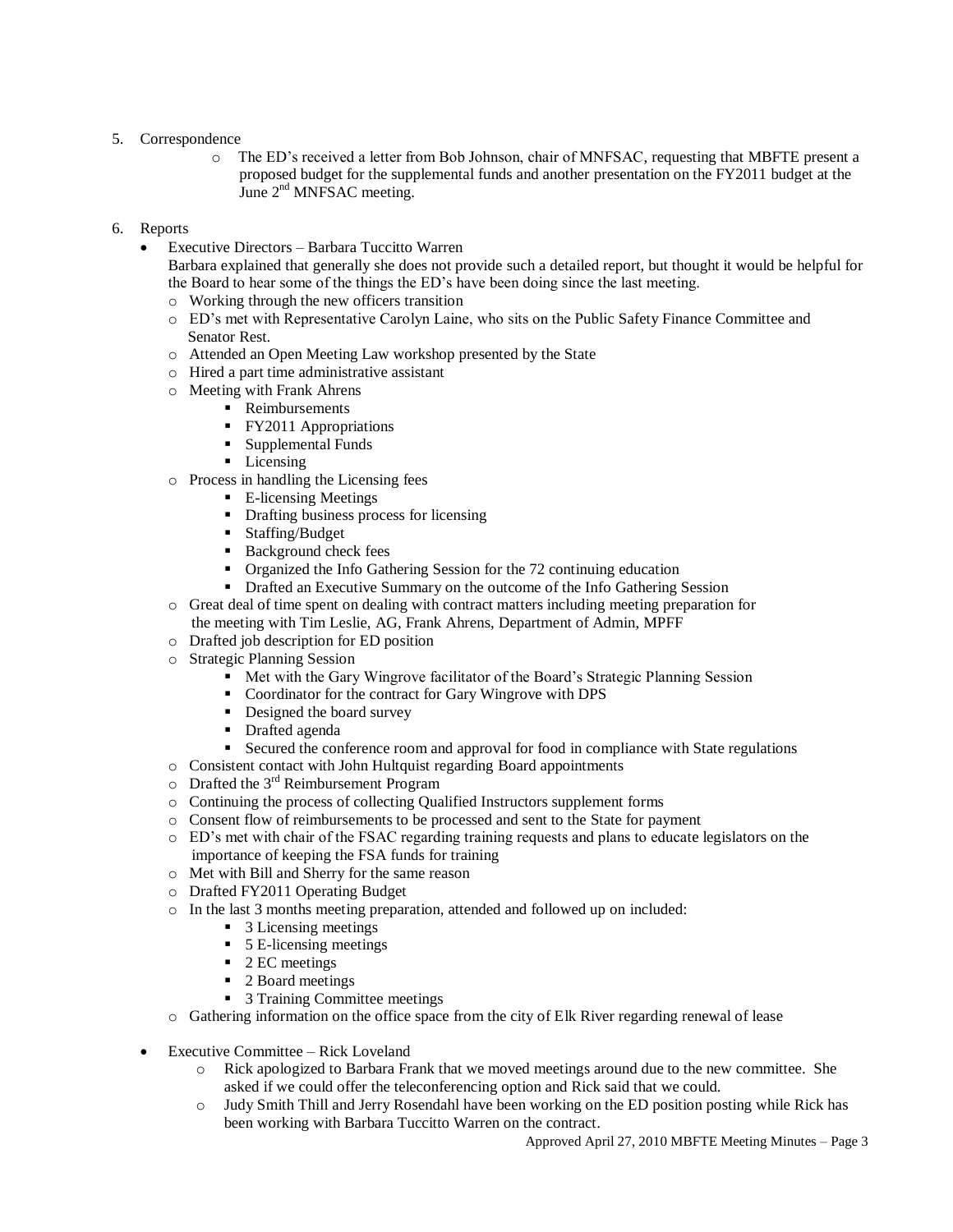# 5. Correspondence

- o The ED's received a letter from Bob Johnson, chair of MNFSAC, requesting that MBFTE present a proposed budget for the supplemental funds and another presentation on the FY2011 budget at the June  $2<sup>nd</sup>$  MNFSAC meeting.
- 6. Reports
	- Executive Directors Barbara Tuccitto Warren
		- Barbara explained that generally she does not provide such a detailed report, but thought it would be helpful for the Board to hear some of the things the ED's have been doing since the last meeting.
		- o Working through the new officers transition
		- o ED's met with Representative Carolyn Laine, who sits on the Public Safety Finance Committee and Senator Rest.
		- o Attended an Open Meeting Law workshop presented by the State
		- o Hired a part time administrative assistant
		- o Meeting with Frank Ahrens
			- **Reimbursements**
			- **FY2011 Appropriations**
			- **Supplemental Funds**
			- Licensing
		- o Process in handling the Licensing fees
			- **E**-licensing Meetings
			- Drafting business process for licensing
			- **Staffing/Budget**
			- Background check fees
			- Organized the Info Gathering Session for the 72 continuing education
			- Drafted an Executive Summary on the outcome of the Info Gathering Session
		- o Great deal of time spent on dealing with contract matters including meeting preparation for the meeting with Tim Leslie, AG, Frank Ahrens, Department of Admin, MPFF
		- o Drafted job description for ED position
		- o Strategic Planning Session
			- Met with the Gary Wingrove facilitator of the Board's Strategic Planning Session
			- Coordinator for the contract for Gary Wingrove with DPS
			- Designed the board survey
			- **Drafted agenda**
			- Secured the conference room and approval for food in compliance with State regulations
		- o Consistent contact with John Hultquist regarding Board appointments
		- $\circ$  Drafted the 3<sup>rd</sup> Reimbursement Program
		- o Continuing the process of collecting Qualified Instructors supplement forms
		- o Consent flow of reimbursements to be processed and sent to the State for payment
		- o ED's met with chair of the FSAC regarding training requests and plans to educate legislators on the importance of keeping the FSA funds for training
		- o Met with Bill and Sherry for the same reason
		- o Drafted FY2011 Operating Budget
		- o In the last 3 months meeting preparation, attended and followed up on included:
			- 3 Licensing meetings
			- 5 E-licensing meetings
			- $\blacksquare$  2 EC meetings
			- 2 Board meetings
			- 3 Training Committee meetings
		- o Gathering information on the office space from the city of Elk River regarding renewal of lease
	- Executive Committee Rick Loveland
		- o Rick apologized to Barbara Frank that we moved meetings around due to the new committee. She asked if we could offer the teleconferencing option and Rick said that we could.
		- o Judy Smith Thill and Jerry Rosendahl have been working on the ED position posting while Rick has been working with Barbara Tuccitto Warren on the contract.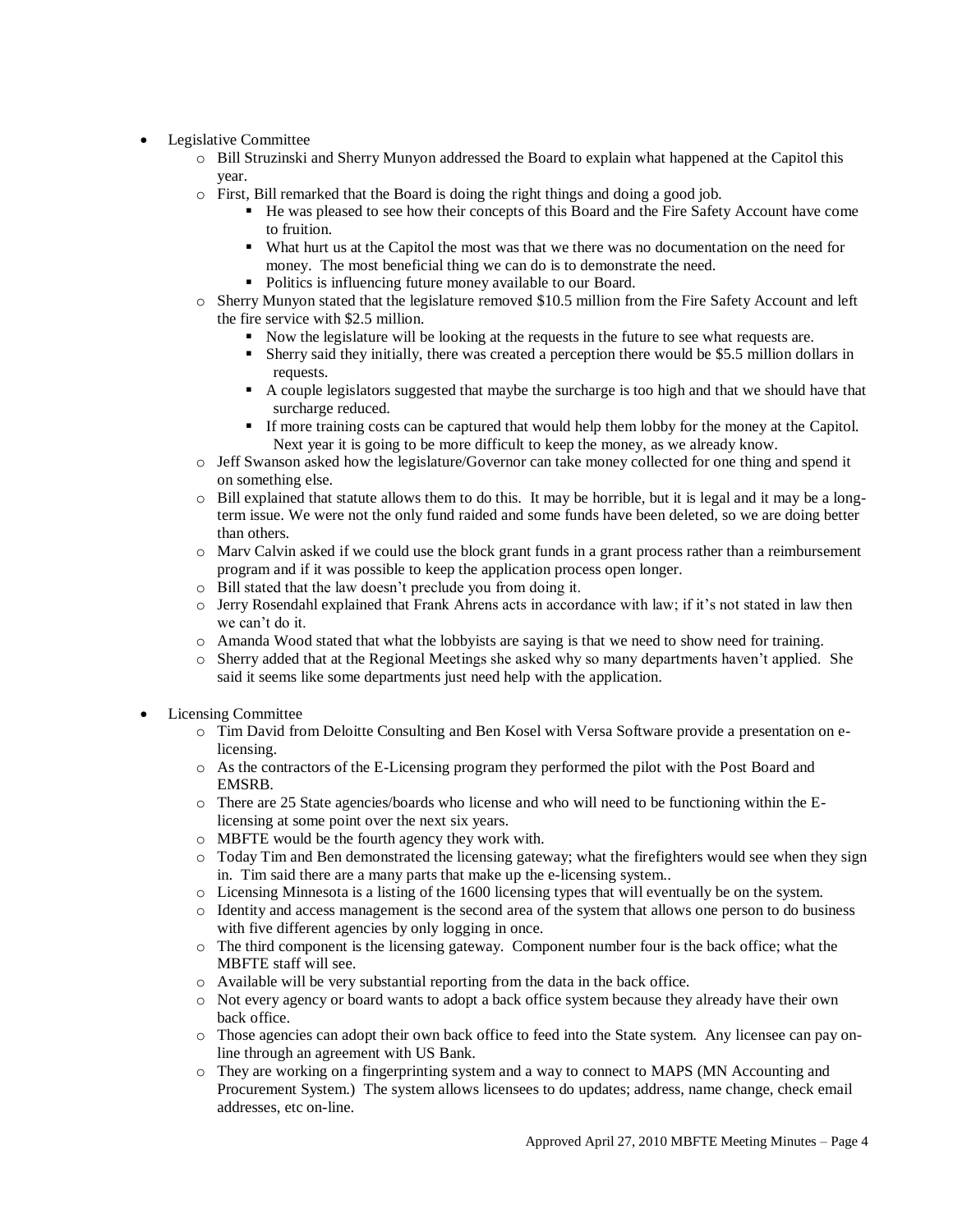- Legislative Committee
	- o Bill Struzinski and Sherry Munyon addressed the Board to explain what happened at the Capitol this year.
	- o First, Bill remarked that the Board is doing the right things and doing a good job.
		- He was pleased to see how their concepts of this Board and the Fire Safety Account have come to fruition.
		- What hurt us at the Capitol the most was that we there was no documentation on the need for money. The most beneficial thing we can do is to demonstrate the need.
		- Politics is influencing future money available to our Board.
	- o Sherry Munyon stated that the legislature removed \$10.5 million from the Fire Safety Account and left the fire service with \$2.5 million.
		- Now the legislature will be looking at the requests in the future to see what requests are.
		- Sherry said they initially, there was created a perception there would be \$5.5 million dollars in requests.
		- A couple legislators suggested that maybe the surcharge is too high and that we should have that surcharge reduced.
		- If more training costs can be captured that would help them lobby for the money at the Capitol. Next year it is going to be more difficult to keep the money, as we already know.
	- o Jeff Swanson asked how the legislature/Governor can take money collected for one thing and spend it on something else.
	- $\circ$  Bill explained that statute allows them to do this. It may be horrible, but it is legal and it may be a longterm issue. We were not the only fund raided and some funds have been deleted, so we are doing better than others.
	- o Marv Calvin asked if we could use the block grant funds in a grant process rather than a reimbursement program and if it was possible to keep the application process open longer.
	- o Bill stated that the law doesn't preclude you from doing it.
	- $\circ$  Jerry Rosendahl explained that Frank Ahrens acts in accordance with law; if it's not stated in law then we can't do it.
	- o Amanda Wood stated that what the lobbyists are saying is that we need to show need for training.
	- o Sherry added that at the Regional Meetings she asked why so many departments haven't applied. She said it seems like some departments just need help with the application.
- Licensing Committee
	- o Tim David from Deloitte Consulting and Ben Kosel with Versa Software provide a presentation on elicensing.
	- o As the contractors of the E-Licensing program they performed the pilot with the Post Board and EMSRB.
	- o There are 25 State agencies/boards who license and who will need to be functioning within the Elicensing at some point over the next six years.
	- o MBFTE would be the fourth agency they work with.
	- o Today Tim and Ben demonstrated the licensing gateway; what the firefighters would see when they sign in. Tim said there are a many parts that make up the e-licensing system..
	- o Licensing Minnesota is a listing of the 1600 licensing types that will eventually be on the system.
	- o Identity and access management is the second area of the system that allows one person to do business with five different agencies by only logging in once.
	- o The third component is the licensing gateway. Component number four is the back office; what the MBFTE staff will see.
	- o Available will be very substantial reporting from the data in the back office.
	- o Not every agency or board wants to adopt a back office system because they already have their own back office.
	- o Those agencies can adopt their own back office to feed into the State system. Any licensee can pay online through an agreement with US Bank.
	- o They are working on a fingerprinting system and a way to connect to MAPS (MN Accounting and Procurement System.) The system allows licensees to do updates; address, name change, check email addresses, etc on-line.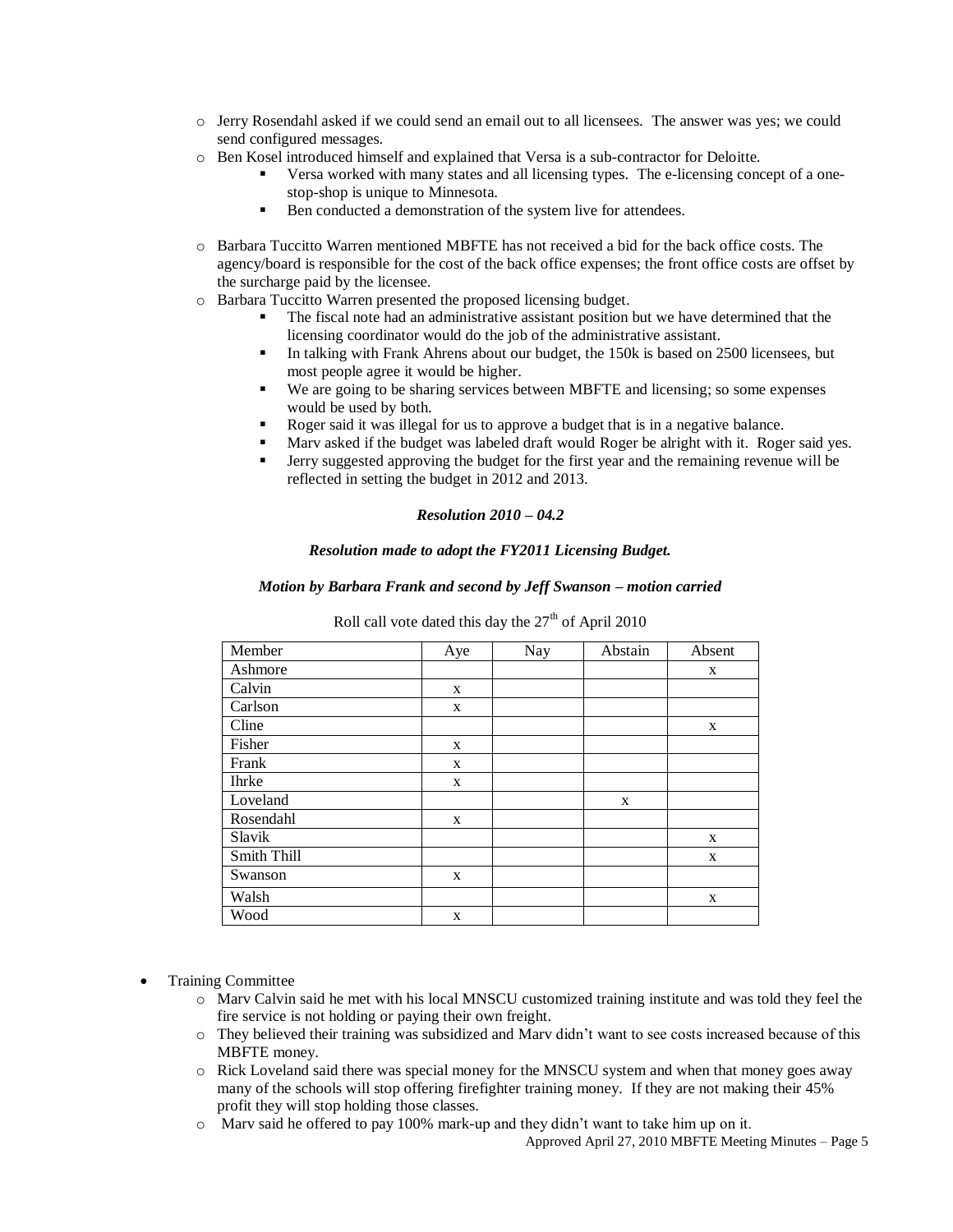- o Jerry Rosendahl asked if we could send an email out to all licensees. The answer was yes; we could send configured messages.
- o Ben Kosel introduced himself and explained that Versa is a sub-contractor for Deloitte.
	- Versa worked with many states and all licensing types. The e-licensing concept of a onestop-shop is unique to Minnesota.
	- Ben conducted a demonstration of the system live for attendees.
- o Barbara Tuccitto Warren mentioned MBFTE has not received a bid for the back office costs. The agency/board is responsible for the cost of the back office expenses; the front office costs are offset by the surcharge paid by the licensee.
- o Barbara Tuccitto Warren presented the proposed licensing budget.
	- The fiscal note had an administrative assistant position but we have determined that the licensing coordinator would do the job of the administrative assistant.
	- In talking with Frank Ahrens about our budget, the 150k is based on 2500 licensees, but most people agree it would be higher.
	- We are going to be sharing services between MBFTE and licensing; so some expenses would be used by both.
	- Roger said it was illegal for us to approve a budget that is in a negative balance.
	- Marv asked if the budget was labeled draft would Roger be alright with it. Roger said yes.
	- Jerry suggested approving the budget for the first year and the remaining revenue will be reflected in setting the budget in 2012 and 2013.

# *Resolution 2010 – 04.2*

## *Resolution made to adopt the FY2011 Licensing Budget.*

## *Motion by Barbara Frank and second by Jeff Swanson – motion carried*

| Member       | Aye | Nay | Abstain | Absent |
|--------------|-----|-----|---------|--------|
| Ashmore      |     |     |         | X      |
| Calvin       | X   |     |         |        |
| Carlson      | X   |     |         |        |
| Cline        |     |     |         | X      |
| Fisher       | X   |     |         |        |
| Frank        | X   |     |         |        |
| <b>Ihrke</b> | X   |     |         |        |
| Loveland     |     |     | X       |        |
| Rosendahl    | X   |     |         |        |
| Slavik       |     |     |         | X      |
| Smith Thill  |     |     |         | X      |
| Swanson      | X   |     |         |        |
| Walsh        |     |     |         | X      |
| Wood         | X   |     |         |        |

Roll call vote dated this day the  $27<sup>th</sup>$  of April 2010

- Training Committee
	- o Marv Calvin said he met with his local MNSCU customized training institute and was told they feel the fire service is not holding or paying their own freight.
	- o They believed their training was subsidized and Marv didn't want to see costs increased because of this MBFTE money.
	- o Rick Loveland said there was special money for the MNSCU system and when that money goes away many of the schools will stop offering firefighter training money. If they are not making their 45% profit they will stop holding those classes.
	- o Marv said he offered to pay 100% mark-up and they didn't want to take him up on it.

Approved April 27, 2010 MBFTE Meeting Minutes – Page 5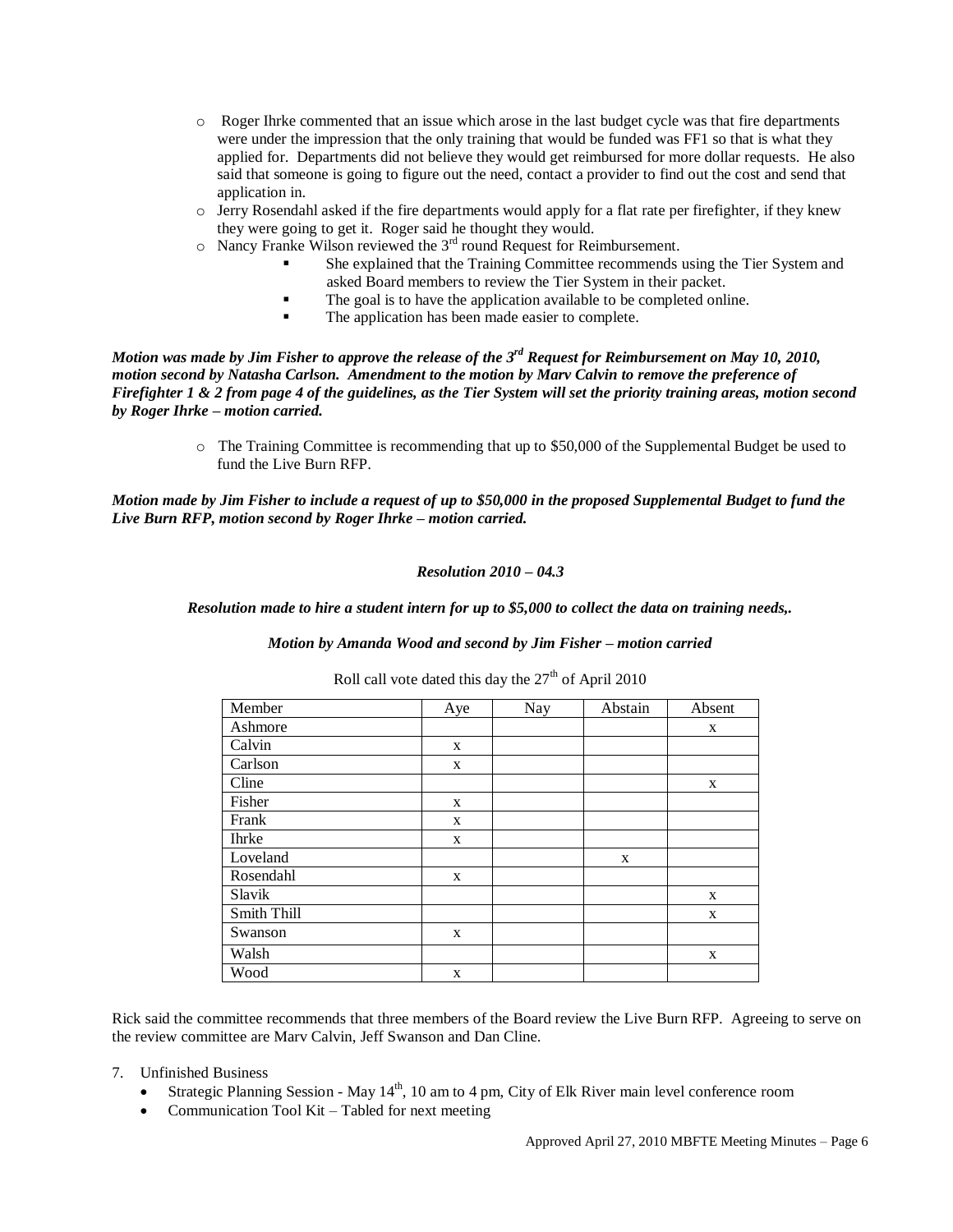- o Roger Ihrke commented that an issue which arose in the last budget cycle was that fire departments were under the impression that the only training that would be funded was FF1 so that is what they applied for. Departments did not believe they would get reimbursed for more dollar requests. He also said that someone is going to figure out the need, contact a provider to find out the cost and send that application in.
- o Jerry Rosendahl asked if the fire departments would apply for a flat rate per firefighter, if they knew they were going to get it. Roger said he thought they would.
- $\circ$  Nancy Franke Wilson reviewed the 3<sup>rd</sup> round Request for Reimbursement.
	- She explained that the Training Committee recommends using the Tier System and asked Board members to review the Tier System in their packet.
	- The goal is to have the application available to be completed online.
	- The application has been made easier to complete.

*Motion was made by Jim Fisher to approve the release of the 3rd Request for Reimbursement on May 10, 2010, motion second by Natasha Carlson. Amendment to the motion by Marv Calvin to remove the preference of Firefighter 1 & 2 from page 4 of the guidelines, as the Tier System will set the priority training areas, motion second by Roger Ihrke – motion carried.*

> o The Training Committee is recommending that up to \$50,000 of the Supplemental Budget be used to fund the Live Burn RFP.

*Motion made by Jim Fisher to include a request of up to \$50,000 in the proposed Supplemental Budget to fund the Live Burn RFP, motion second by Roger Ihrke – motion carried.*

# *Resolution 2010 – 04.3*

*Resolution made to hire a student intern for up to \$5,000 to collect the data on training needs,.*

*Motion by Amanda Wood and second by Jim Fisher – motion carried*

| Member       | Aye | Nay | Abstain | Absent |
|--------------|-----|-----|---------|--------|
| Ashmore      |     |     |         | X      |
| Calvin       | X   |     |         |        |
| Carlson      | X   |     |         |        |
| Cline        |     |     |         | X      |
| Fisher       | X   |     |         |        |
| Frank        | X   |     |         |        |
| <b>Ihrke</b> | X   |     |         |        |
| Loveland     |     |     | X       |        |
| Rosendahl    | X   |     |         |        |
| Slavik       |     |     |         | X      |
| Smith Thill  |     |     |         | X      |
| Swanson      | X   |     |         |        |
| Walsh        |     |     |         | X      |
| Wood         | X   |     |         |        |

Roll call vote dated this day the  $27<sup>th</sup>$  of April 2010

Rick said the committee recommends that three members of the Board review the Live Burn RFP. Agreeing to serve on the review committee are Marv Calvin, Jeff Swanson and Dan Cline.

- 7. Unfinished Business
	- Strategic Planning Session May  $14<sup>th</sup>$ , 10 am to 4 pm, City of Elk River main level conference room
	- Communication Tool Kit Tabled for next meeting